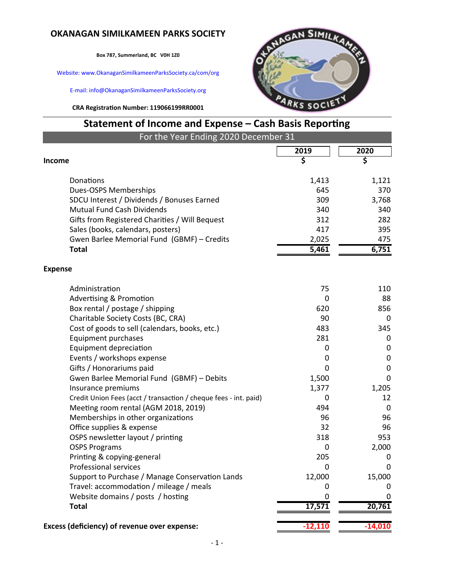## **OKANAGAN SIMILKAMEEN PARKS SOCIETY**

**Box 787, Summerland, BC V0H 1Z0**

Website: www.OkanaganSimilkameenParksSociety.ca/com/org

E-mail: info@OkanaganSimilkameenParksSociety.org

**CRA Registration Number: 119066199RR0001**



## **Statement of Income and Expense – Cash Basis Reporting**

| For the Year Ending 2020 December 31                                            |                |                  |  |  |  |  |
|---------------------------------------------------------------------------------|----------------|------------------|--|--|--|--|
|                                                                                 | 2019           | 2020             |  |  |  |  |
| <b>Income</b>                                                                   | \$             | \$               |  |  |  |  |
|                                                                                 |                |                  |  |  |  |  |
| Donations                                                                       | 1,413          | 1,121            |  |  |  |  |
| Dues-OSPS Memberships                                                           | 645            | 370              |  |  |  |  |
| SDCU Interest / Dividends / Bonuses Earned                                      | 309            | 3,768            |  |  |  |  |
| Mutual Fund Cash Dividends                                                      | 340            | 340              |  |  |  |  |
| Gifts from Registered Charities / Will Bequest                                  | 312<br>417     | 282              |  |  |  |  |
| Sales (books, calendars, posters)<br>Gwen Barlee Memorial Fund (GBMF) - Credits |                | 395<br>475       |  |  |  |  |
| <b>Total</b>                                                                    | 2,025<br>5,461 | 6,751            |  |  |  |  |
|                                                                                 |                |                  |  |  |  |  |
| <b>Expense</b>                                                                  |                |                  |  |  |  |  |
| Administration                                                                  | 75             | 110              |  |  |  |  |
| <b>Advertising &amp; Promotion</b>                                              | 0              | 88               |  |  |  |  |
| Box rental / postage / shipping                                                 | 620            | 856              |  |  |  |  |
| Charitable Society Costs (BC, CRA)                                              | 90             | 0                |  |  |  |  |
| Cost of goods to sell (calendars, books, etc.)                                  | 483            | 345              |  |  |  |  |
| Equipment purchases                                                             | 281            | 0                |  |  |  |  |
| Equipment depreciation                                                          | 0              | 0                |  |  |  |  |
| Events / workshops expense                                                      | 0              | $\boldsymbol{0}$ |  |  |  |  |
| Gifts / Honorariums paid                                                        | 0              | $\pmb{0}$        |  |  |  |  |
| Gwen Barlee Memorial Fund (GBMF) - Debits                                       | 1,500          | $\mathbf 0$      |  |  |  |  |
| Insurance premiums                                                              | 1,377          | 1,205            |  |  |  |  |
| Credit Union Fees (acct / transaction / cheque fees - int. paid)                | 0              | 12               |  |  |  |  |
| Meeting room rental (AGM 2018, 2019)                                            | 494            | $\mathbf 0$      |  |  |  |  |
| Memberships in other organizations                                              | 96             | 96               |  |  |  |  |
| Office supplies & expense                                                       | 32             | 96               |  |  |  |  |
| OSPS newsletter layout / printing                                               | 318            | 953              |  |  |  |  |
| <b>OSPS Programs</b>                                                            | 0              | 2,000            |  |  |  |  |
| Printing & copying-general                                                      | 205            | 0                |  |  |  |  |
| <b>Professional services</b>                                                    | 0              | 0                |  |  |  |  |
| Support to Purchase / Manage Conservation Lands                                 | 12,000         | 15,000           |  |  |  |  |
| Travel: accommodation / mileage / meals                                         | O              |                  |  |  |  |  |
| Website domains / posts / hosting                                               | 0              | 0                |  |  |  |  |
| <b>Total</b>                                                                    | 17,571         | 20,761           |  |  |  |  |
| Excess (deficiency) of revenue over expense:                                    | $-12,110$      | $-14,010$        |  |  |  |  |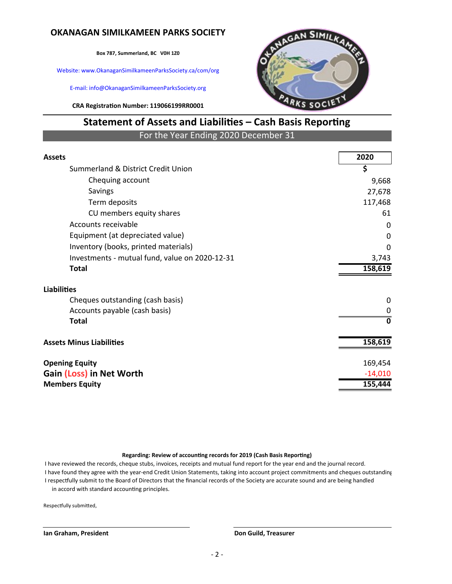### **OKANAGAN SIMILKAMEEN PARKS SOCIETY**

**Box 787, Summerland, BC V0H 1Z0**

Website: www.OkanaganSimilkameenParksSociety.ca/com/org

E-mail: info@OkanaganSimilkameenParksSociety.org

**CRA Registration Number: 119066199RR0001**



# **Statement of Assets and Liabilities – Cash Basis Reporting**

For the Year Ending 2020 December 31

| <b>Assets</b>                                  | 2020        |
|------------------------------------------------|-------------|
| Summerland & District Credit Union             | \$          |
| Chequing account                               | 9,668       |
| Savings                                        | 27,678      |
| Term deposits                                  | 117,468     |
| CU members equity shares                       | 61          |
| Accounts receivable                            | 0           |
| Equipment (at depreciated value)               | $\Omega$    |
| Inventory (books, printed materials)           | $\Omega$    |
| Investments - mutual fund, value on 2020-12-31 | 3,743       |
| <b>Total</b>                                   | 158,619     |
| <b>Liabilities</b>                             |             |
| Cheques outstanding (cash basis)               | 0           |
| Accounts payable (cash basis)                  | 0           |
| <b>Total</b>                                   | $\mathbf 0$ |
| <b>Assets Minus Liabilities</b>                | 158,619     |
| <b>Opening Equity</b>                          | 169,454     |
| Gain (Loss) in Net Worth                       | $-14,010$   |
| <b>Members Equity</b>                          | 155,444     |
|                                                |             |

#### **Regarding: Review of accounting records for 2019 (Cash Basis Reporting)**

 I have reviewed the records, cheque stubs, invoices, receipts and mutual fund report for the year end and the journal record. I have found they agree with the year-end Credit Union Statements, taking into account project commitments and cheques outstanding I respectfully submit to the Board of Directors that the financial records of the Society are accurate sound and are being handled in accord with standard accounting principles.

Respectfully submitted,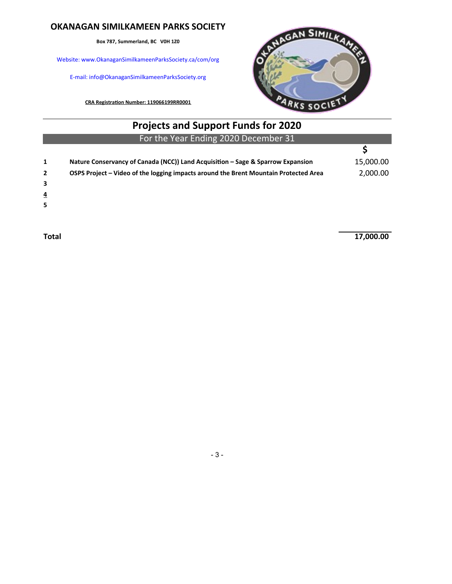### **OKANAGAN SIMILKAMEEN PARKS SOCIETY**

**Box 787, Summerland, BC V0H 1Z0**

Website: www.OkanaganSimilkameenParksSociety.ca/com/org

E-mail: info@OkanaganSimilkameenParksSociety.org

**CRA Registration Number: 119066199RR0001**



|                | <b>Projects and Support Funds for 2020</b>                                           |           |
|----------------|--------------------------------------------------------------------------------------|-----------|
|                | For the Year Ending 2020 December 31                                                 |           |
|                |                                                                                      |           |
| 1              | Nature Conservancy of Canada (NCC)) Land Acquisition - Sage & Sparrow Expansion      | 15,000.00 |
| $\overline{2}$ | OSPS Project - Video of the logging impacts around the Brent Mountain Protected Area | 2,000.00  |
|                |                                                                                      |           |

**3**

**4**

**5**

**Total 17,000.00** 

- 3 -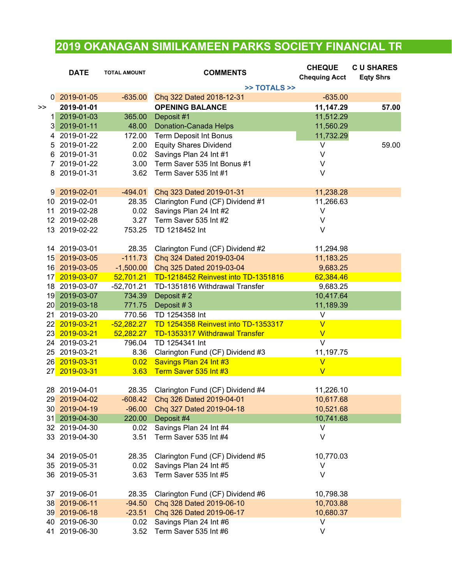## **2019 OKANAGAN SIMILKAMEEN PARKS SOCIETY FINANCIAL TR**

|                | <b>DATE</b>                 | <b>TOTAL AMOUNT</b> | <b>COMMENTS</b>                     | <b>CHEQUE</b>           | <b>CU SHARES</b> |
|----------------|-----------------------------|---------------------|-------------------------------------|-------------------------|------------------|
|                |                             |                     |                                     | <b>Chequing Acct</b>    | <b>Eqty Shrs</b> |
|                |                             |                     | >> TOTALS >>                        |                         |                  |
|                | 0 2019-01-05                | $-635.00$           | Chq 322 Dated 2018-12-31            | $-635.00$               |                  |
| >>             | 2019-01-01                  |                     | <b>OPENING BALANCE</b>              | 11,147.29               | 57.00            |
| 1 <sup>1</sup> | 2019-01-03                  | 365.00              | Deposit #1                          | 11,512.29               |                  |
| 3 <sup>1</sup> | 2019-01-11                  | 48.00               | <b>Donation-Canada Helps</b>        | 11,560.29               |                  |
| 4              | 2019-01-22                  | 172.00              | <b>Term Deposit Int Bonus</b>       | 11,732.29               |                  |
| 5              | 2019-01-22                  | 2.00                | <b>Equity Shares Dividend</b>       | V                       | 59.00            |
| 6              | 2019-01-31                  | 0.02                | Savings Plan 24 Int #1              | V                       |                  |
| 7              | 2019-01-22                  | 3.00                | Term Saver 535 Int Bonus #1         | V                       |                  |
| 8              | 2019-01-31                  | 3.62                | Term Saver 535 Int #1               | V                       |                  |
|                |                             |                     |                                     |                         |                  |
|                | 9 2019-02-01                | $-494.01$           | Chq 323 Dated 2019-01-31            | 11,238.28               |                  |
|                | 10 2019-02-01               | 28.35               | Clarington Fund (CF) Dividend #1    | 11,266.63               |                  |
|                | 11 2019-02-28               | 0.02                | Savings Plan 24 Int #2              | V                       |                  |
|                | 12 2019-02-28               | 3.27                | Term Saver 535 Int #2               | V                       |                  |
|                | 13 2019-02-22               | 753.25              | TD 1218452 Int                      | $\vee$                  |                  |
|                |                             |                     |                                     |                         |                  |
|                | 14 2019-03-01               | 28.35               | Clarington Fund (CF) Dividend #2    | 11,294.98               |                  |
|                | 15 2019-03-05               | $-111.73$           | Chq 324 Dated 2019-03-04            | 11,183.25               |                  |
|                | 16 2019-03-05               | $-1,500.00$         | Chq 325 Dated 2019-03-04            | 9,683.25                |                  |
|                | 17 2019-03-07               | 52,701.21           | TD-1218452 Reinvest into TD-1351816 | 62,384.46               |                  |
|                | 18 2019-03-07               | $-52,701.21$        | TD-1351816 Withdrawal Transfer      | 9,683.25                |                  |
|                | 19 2019-03-07               | 734.39              | Deposit #2                          | 10,417.64               |                  |
|                | 20 2019-03-18               | 771.75              | Deposit #3                          | 11,189.39               |                  |
|                | 21 2019-03-20               | 770.56              | TD 1254358 Int                      | V                       |                  |
|                | 22 <mark> 2019-03-21</mark> | $-52,282.27$        | TD 1254358 Reinvest into TD-1353317 | $\overline{\mathsf{V}}$ |                  |
|                | 23 <mark> 2019-03-21</mark> | 52,282.27           | TD-1353317 Withdrawal Transfer      | $\overline{\mathsf{V}}$ |                  |
|                | 24 2019-03-21               | 796.04              | TD 1254341 Int                      | $\vee$                  |                  |
|                | 25 2019-03-21               | 8.36                | Clarington Fund (CF) Dividend #3    | 11,197.75               |                  |
|                | 26 2019-03-31               | 0.02                | Savings Plan 24 Int #3              | $\overline{\mathsf{V}}$ |                  |
|                | 27 2019-03-31               | 3.63                | Term Saver 535 Int #3               | $\overline{\mathsf{V}}$ |                  |
|                |                             |                     |                                     |                         |                  |
|                | 28 2019-04-01               | 28.35               | Clarington Fund (CF) Dividend #4    | 11,226.10               |                  |
|                | 29 2019-04-02               | $-608.42$           | Chq 326 Dated 2019-04-01            | 10,617.68               |                  |
|                | 30 2019-04-19               | $-96.00$            | Chq 327 Dated 2019-04-18            | 10,521.68               |                  |
|                | 31 2019-04-30               | 220.00              | Deposit #4                          | 10,741.68               |                  |
|                | 32 2019-04-30               | 0.02                | Savings Plan 24 Int #4              | V                       |                  |
|                | 33 2019-04-30               | 3.51                | Term Saver 535 Int #4               | V                       |                  |
|                |                             |                     |                                     |                         |                  |
|                | 34 2019-05-01               | 28.35               | Clarington Fund (CF) Dividend #5    | 10,770.03               |                  |
|                | 35 2019-05-31               | 0.02                | Savings Plan 24 Int #5              | V                       |                  |
|                | 36 2019-05-31               | 3.63                | Term Saver 535 Int #5               | V                       |                  |
|                |                             |                     |                                     |                         |                  |
|                | 37 2019-06-01               | 28.35               | Clarington Fund (CF) Dividend #6    | 10,798.38               |                  |
|                | 38 2019-06-11               | $-94.50$            | Chq 328 Dated 2019-06-10            | 10,703.88               |                  |
|                | 39 2019-06-18               | $-23.51$            | Chq 326 Dated 2019-06-17            | 10,680.37               |                  |
|                | 40 2019-06-30               | 0.02                | Savings Plan 24 Int #6              | V                       |                  |
|                | 41 2019-06-30               | 3.52                | Term Saver 535 Int #6               | V                       |                  |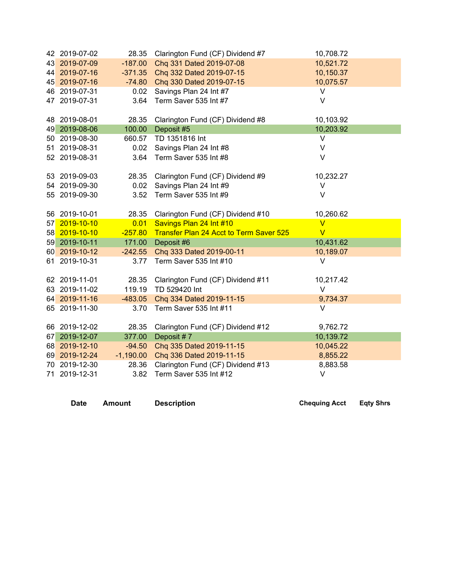| 42 2019-07-02 | 28.35       | Clarington Fund (CF) Dividend #7                            | 10,708.72               |  |
|---------------|-------------|-------------------------------------------------------------|-------------------------|--|
| 43 2019-07-09 | $-187.00$   | Chq 331 Dated 2019-07-08                                    | 10,521.72               |  |
| 44 2019-07-16 | $-371.35$   | Chq 332 Dated 2019-07-15                                    | 10,150.37               |  |
| 45 2019-07-16 | $-74.80$    | Chq 330 Dated 2019-07-15                                    | 10,075.57               |  |
| 46 2019-07-31 | 0.02        | Savings Plan 24 Int #7                                      | V                       |  |
| 47 2019-07-31 | 3.64        | Term Saver 535 Int #7                                       | V                       |  |
|               |             |                                                             |                         |  |
| 48 2019-08-01 | 28.35       | Clarington Fund (CF) Dividend #8                            | 10,103.92               |  |
| 49 2019-08-06 | 100.00      | Deposit #5                                                  | 10,203.92               |  |
| 50 2019-08-30 | 660.57      | TD 1351816 Int                                              | $\sf V$                 |  |
| 51 2019-08-31 | 0.02        | Savings Plan 24 Int #8                                      | $\vee$                  |  |
| 52 2019-08-31 | 3.64        | Term Saver 535 Int #8                                       | $\vee$                  |  |
|               |             |                                                             |                         |  |
| 53 2019-09-03 | 28.35       | Clarington Fund (CF) Dividend #9                            | 10,232.27               |  |
| 54 2019-09-30 | 0.02        | Savings Plan 24 Int #9                                      | V                       |  |
| 55 2019-09-30 | 3.52        | Term Saver 535 Int #9                                       | $\vee$                  |  |
|               |             |                                                             |                         |  |
| 56 2019-10-01 | 28.35       | Clarington Fund (CF) Dividend #10                           | 10,260.62               |  |
| 57 2019-10-10 | 0.01        | Savings Plan 24 Int #10                                     | $\overline{V}$          |  |
| 58 2019-10-10 | $-257.80$   | Transfer Plan 24 Acct to Term Saver 525                     | $\overline{\mathsf{V}}$ |  |
| 59 2019-10-11 | 171.00      | Deposit #6                                                  | 10,431.62               |  |
| 60 2019-10-12 | $-242.55$   | Chq 333 Dated 2019-00-11                                    | 10,189.07               |  |
| 61 2019-10-31 | 3.77        | Term Saver 535 Int #10                                      | V                       |  |
|               |             |                                                             |                         |  |
| 62 2019-11-01 | 28.35       | Clarington Fund (CF) Dividend #11                           | 10,217.42               |  |
| 63 2019-11-02 | 119.19      | TD 529420 Int                                               | V                       |  |
| 64 2019-11-16 | $-483.05$   | Chq 334 Dated 2019-11-15                                    | 9,734.37                |  |
| 65 2019-11-30 | 3.70        | Term Saver 535 Int #11                                      | $\vee$                  |  |
| 66 2019-12-02 | 28.35       |                                                             | 9,762.72                |  |
| 67 2019-12-07 | 377.00      | Clarington Fund (CF) Dividend #12<br>Deposit #7             | 10,139.72               |  |
|               |             |                                                             |                         |  |
| 68 2019-12-10 | $-94.50$    | Chq 335 Dated 2019-11-15                                    | 10,045.22               |  |
| 69 2019-12-24 | $-1,190.00$ | Chq 336 Dated 2019-11-15                                    | 8,855.22                |  |
| 70 2019-12-30 | 28.36       | Clarington Fund (CF) Dividend #13<br>Term Saver 535 Int #12 | 8,883.58<br>$\vee$      |  |
| 71 2019-12-31 | 3.82        |                                                             |                         |  |

**Date Amount Description Chequing Acct Eqty Shrs**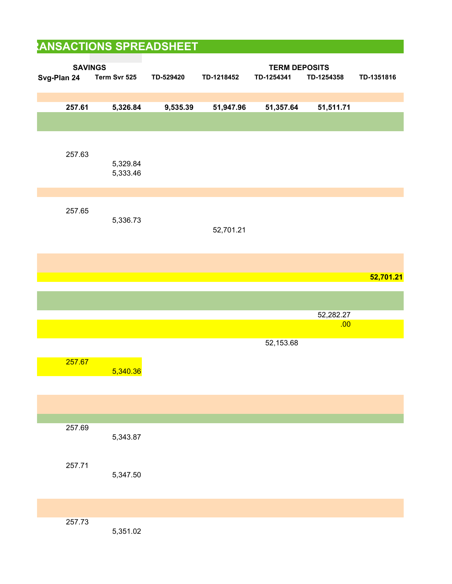| <b>TERM DEPOSITS</b><br>TD-1218452<br>TD-1254358<br>TD-529420<br>TD-1254341<br>TD-1351816<br>9,535.39<br>51,947.96<br>51,511.71<br>51,357.64<br>52,701.21<br>52,701.21<br>52,282.27<br>.00<br>52,153.68 | Term Svr 525<br>5,326.84<br>5,329.84<br>5,333.46 | <b>SAVINGS</b><br>Svg-Plan 24<br>257.61<br>257.63                                                                                                      |
|---------------------------------------------------------------------------------------------------------------------------------------------------------------------------------------------------------|--------------------------------------------------|--------------------------------------------------------------------------------------------------------------------------------------------------------|
|                                                                                                                                                                                                         |                                                  |                                                                                                                                                        |
|                                                                                                                                                                                                         |                                                  |                                                                                                                                                        |
|                                                                                                                                                                                                         |                                                  |                                                                                                                                                        |
|                                                                                                                                                                                                         |                                                  |                                                                                                                                                        |
|                                                                                                                                                                                                         |                                                  |                                                                                                                                                        |
|                                                                                                                                                                                                         |                                                  |                                                                                                                                                        |
|                                                                                                                                                                                                         | 5,336.73                                         | 257.65                                                                                                                                                 |
|                                                                                                                                                                                                         |                                                  |                                                                                                                                                        |
|                                                                                                                                                                                                         |                                                  |                                                                                                                                                        |
|                                                                                                                                                                                                         |                                                  |                                                                                                                                                        |
|                                                                                                                                                                                                         |                                                  |                                                                                                                                                        |
|                                                                                                                                                                                                         |                                                  |                                                                                                                                                        |
|                                                                                                                                                                                                         |                                                  | 257.67                                                                                                                                                 |
|                                                                                                                                                                                                         | 5,340.36                                         | $\mathcal{L}(\mathcal{L})$ and $\mathcal{L}(\mathcal{L})$ and $\mathcal{L}(\mathcal{L})$ and $\mathcal{L}(\mathcal{L})$ and $\mathcal{L}(\mathcal{L})$ |
|                                                                                                                                                                                                         |                                                  |                                                                                                                                                        |
|                                                                                                                                                                                                         |                                                  | 257.69                                                                                                                                                 |
|                                                                                                                                                                                                         | 5,343.87                                         |                                                                                                                                                        |
|                                                                                                                                                                                                         |                                                  | 257.71                                                                                                                                                 |
|                                                                                                                                                                                                         |                                                  |                                                                                                                                                        |
|                                                                                                                                                                                                         | 5,347.50                                         |                                                                                                                                                        |
| 5,351.02                                                                                                                                                                                                |                                                  |                                                                                                                                                        |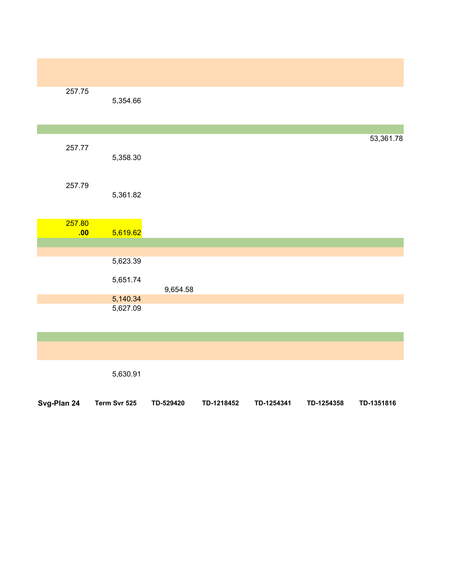| 257.75      | 5,354.66     |           |            |            |            |            |
|-------------|--------------|-----------|------------|------------|------------|------------|
|             |              |           |            |            |            |            |
| 257.77      | 5,358.30     |           |            |            |            | 53,361.78  |
| 257.79      | 5,361.82     |           |            |            |            |            |
| 257.80      |              |           |            |            |            |            |
| .00         | 5,619.62     |           |            |            |            |            |
|             |              |           |            |            |            |            |
|             | 5,623.39     |           |            |            |            |            |
|             | 5,651.74     | 9,654.58  |            |            |            |            |
|             | 5,140.34     |           |            |            |            |            |
|             | 5,627.09     |           |            |            |            |            |
|             |              |           |            |            |            |            |
|             |              |           |            |            |            |            |
|             | 5,630.91     |           |            |            |            |            |
| Svg-Plan 24 | Term Svr 525 | TD-529420 | TD-1218452 | TD-1254341 | TD-1254358 | TD-1351816 |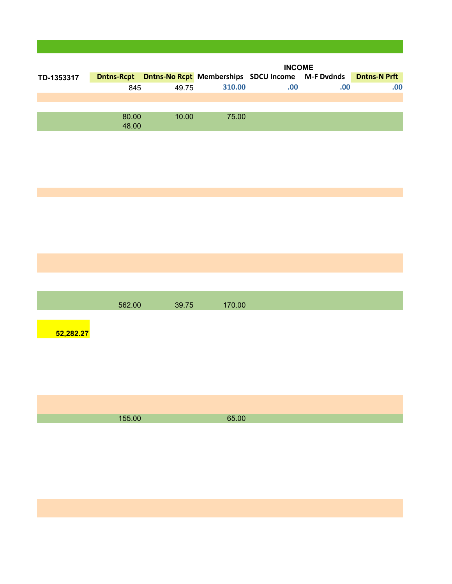|            |        |                                                                    |        | <b>INCOME</b> |     |                     |
|------------|--------|--------------------------------------------------------------------|--------|---------------|-----|---------------------|
| TD-1353317 |        | <b>Dntns-Rcpt Dntns-No Rcpt Memberships SDCU Income M-F Dvdnds</b> |        |               |     | <b>Dntns-N Prft</b> |
|            | 845    | 49.75                                                              | 310.00 | .00           | .00 | .00                 |
|            |        |                                                                    |        |               |     |                     |
|            |        |                                                                    |        |               |     |                     |
|            | 80.00  | 10.00                                                              | 75.00  |               |     |                     |
|            | 48.00  |                                                                    |        |               |     |                     |
|            |        |                                                                    |        |               |     |                     |
|            |        |                                                                    |        |               |     |                     |
|            |        |                                                                    |        |               |     |                     |
|            |        |                                                                    |        |               |     |                     |
|            |        |                                                                    |        |               |     |                     |
|            |        |                                                                    |        |               |     |                     |
|            |        |                                                                    |        |               |     |                     |
|            |        |                                                                    |        |               |     |                     |
|            |        |                                                                    |        |               |     |                     |
|            |        |                                                                    |        |               |     |                     |
|            |        |                                                                    |        |               |     |                     |
|            |        |                                                                    |        |               |     |                     |
|            |        |                                                                    |        |               |     |                     |
|            |        |                                                                    |        |               |     |                     |
|            |        |                                                                    |        |               |     |                     |
|            | 562.00 | 39.75                                                              | 170.00 |               |     |                     |
|            |        |                                                                    |        |               |     |                     |
| 52,282.27  |        |                                                                    |        |               |     |                     |
|            |        |                                                                    |        |               |     |                     |
|            |        |                                                                    |        |               |     |                     |
|            |        |                                                                    |        |               |     |                     |
|            |        |                                                                    |        |               |     |                     |
|            |        |                                                                    |        |               |     |                     |
|            |        |                                                                    |        |               |     |                     |
|            |        |                                                                    |        |               |     |                     |
|            | 155.00 |                                                                    | 65.00  |               |     |                     |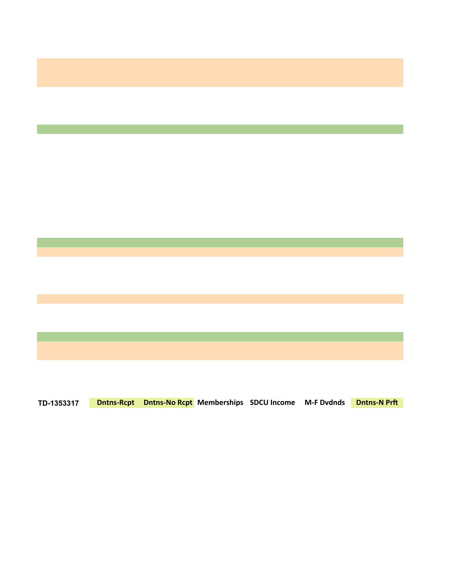

**TD-1353317 Dntns-Rcpt Dntns-No Rcpt Memberships SDCU Income M-F Dvdnds Dntns-N Prft**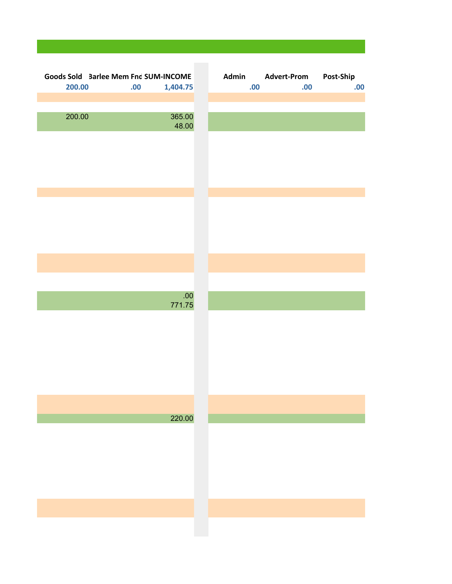| Goods Sold 3arlee Mem Fnd SUM-INCOME |      |                  | Admin |     | <b>Advert-Prom</b> | Post-Ship |
|--------------------------------------|------|------------------|-------|-----|--------------------|-----------|
| 200.00                               | .00. | 1,404.75         |       | .00 | .00                | .00       |
|                                      |      |                  |       |     |                    |           |
|                                      |      |                  |       |     |                    |           |
| 200.00                               |      | 365.00<br>48.00  |       |     |                    |           |
|                                      |      |                  |       |     |                    |           |
|                                      |      |                  |       |     |                    |           |
|                                      |      |                  |       |     |                    |           |
|                                      |      |                  |       |     |                    |           |
|                                      |      |                  |       |     |                    |           |
|                                      |      |                  |       |     |                    |           |
|                                      |      |                  |       |     |                    |           |
|                                      |      |                  |       |     |                    |           |
|                                      |      |                  |       |     |                    |           |
|                                      |      |                  |       |     |                    |           |
|                                      |      |                  |       |     |                    |           |
|                                      |      |                  |       |     |                    |           |
|                                      |      |                  |       |     |                    |           |
|                                      |      | .00 <sub>1</sub> |       |     |                    |           |
|                                      |      | 771.75           |       |     |                    |           |
|                                      |      |                  |       |     |                    |           |
|                                      |      |                  |       |     |                    |           |
|                                      |      |                  |       |     |                    |           |
|                                      |      |                  |       |     |                    |           |
|                                      |      |                  |       |     |                    |           |
|                                      |      |                  |       |     |                    |           |
|                                      |      |                  |       |     |                    |           |
|                                      |      |                  |       |     |                    |           |
|                                      |      | 220.00           |       |     |                    |           |
|                                      |      |                  |       |     |                    |           |
|                                      |      |                  |       |     |                    |           |
|                                      |      |                  |       |     |                    |           |
|                                      |      |                  |       |     |                    |           |
|                                      |      |                  |       |     |                    |           |
|                                      |      |                  |       |     |                    |           |
|                                      |      |                  |       |     |                    |           |
|                                      |      |                  |       |     |                    |           |
|                                      |      |                  |       |     |                    |           |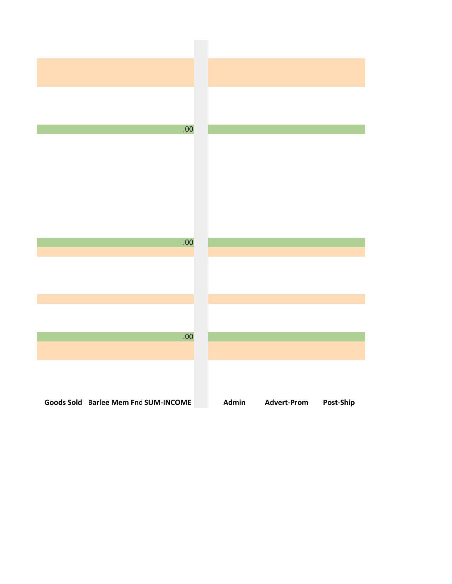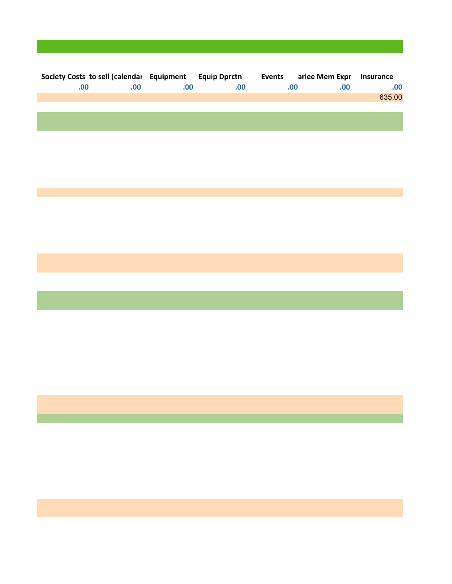| Society Costs to sell (calendar Equipment Equip Dprctn Events arlee Mem Expr |     |     |      |     |      | Insurance |
|------------------------------------------------------------------------------|-----|-----|------|-----|------|-----------|
| .00.                                                                         | .00 | .00 | .00. | .00 | .00. | .00       |
|                                                                              |     |     |      |     |      | 635.00    |
|                                                                              |     |     |      |     |      |           |
|                                                                              |     |     |      |     |      |           |
|                                                                              |     |     |      |     |      |           |
|                                                                              |     |     |      |     |      |           |
|                                                                              |     |     |      |     |      |           |
|                                                                              |     |     |      |     |      |           |
|                                                                              |     |     |      |     |      |           |
|                                                                              |     |     |      |     |      |           |
|                                                                              |     |     |      |     |      |           |
|                                                                              |     |     |      |     |      |           |
|                                                                              |     |     |      |     |      |           |
|                                                                              |     |     |      |     |      |           |
|                                                                              |     |     |      |     |      |           |
|                                                                              |     |     |      |     |      |           |
|                                                                              |     |     |      |     |      |           |
|                                                                              |     |     |      |     |      |           |
|                                                                              |     |     |      |     |      |           |
|                                                                              |     |     |      |     |      |           |
|                                                                              |     |     |      |     |      |           |
|                                                                              |     |     |      |     |      |           |
|                                                                              |     |     |      |     |      |           |
|                                                                              |     |     |      |     |      |           |
|                                                                              |     |     |      |     |      |           |
|                                                                              |     |     |      |     |      |           |
|                                                                              |     |     |      |     |      |           |
|                                                                              |     |     |      |     |      |           |
|                                                                              |     |     |      |     |      |           |
|                                                                              |     |     |      |     |      |           |
|                                                                              |     |     |      |     |      |           |
|                                                                              |     |     |      |     |      |           |
|                                                                              |     |     |      |     |      |           |
|                                                                              |     |     |      |     |      |           |
|                                                                              |     |     |      |     |      |           |
|                                                                              |     |     |      |     |      |           |
|                                                                              |     |     |      |     |      |           |
|                                                                              |     |     |      |     |      |           |
|                                                                              |     |     |      |     |      |           |
|                                                                              |     |     |      |     |      |           |
|                                                                              |     |     |      |     |      |           |
|                                                                              |     |     |      |     |      |           |
|                                                                              |     |     |      |     |      |           |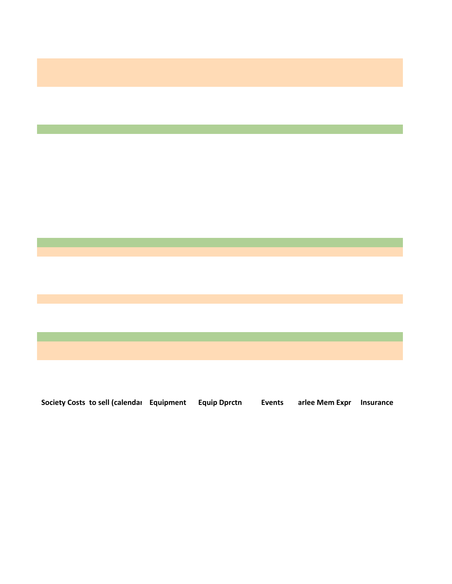

**Society Costs to sell (calendar Equipment Equip Dprctn Events arlee Mem Expr Insurance**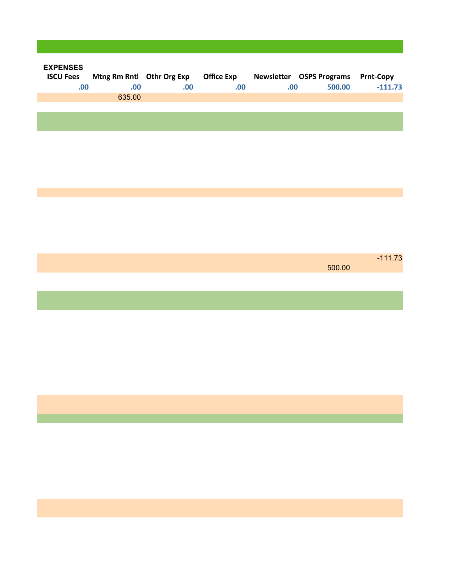| <b>EXPENSES</b><br>.00. | ISCU Fees Mtng Rm Rntl Othr Org Exp Office Exp<br>.00 | .00. | .00. | Newsletter OSPS Programs Prnt-Copy<br>.00. | 500.00 | $-111.73$ |
|-------------------------|-------------------------------------------------------|------|------|--------------------------------------------|--------|-----------|
|                         | 635.00                                                |      |      |                                            |        |           |
|                         |                                                       |      |      |                                            |        |           |
|                         |                                                       |      |      |                                            |        |           |
|                         |                                                       |      |      |                                            |        |           |
|                         |                                                       |      |      |                                            |        |           |
|                         |                                                       |      |      |                                            |        |           |
|                         |                                                       |      |      |                                            |        |           |
|                         |                                                       |      |      |                                            |        |           |
|                         |                                                       |      |      |                                            |        |           |
|                         |                                                       |      |      |                                            |        |           |
|                         |                                                       |      |      |                                            |        | $-111.73$ |
|                         |                                                       |      |      |                                            | 500.00 |           |
|                         |                                                       |      |      |                                            |        |           |
|                         |                                                       |      |      |                                            |        |           |
|                         |                                                       |      |      |                                            |        |           |
|                         |                                                       |      |      |                                            |        |           |
|                         |                                                       |      |      |                                            |        |           |
|                         |                                                       |      |      |                                            |        |           |
|                         |                                                       |      |      |                                            |        |           |
|                         |                                                       |      |      |                                            |        |           |
|                         |                                                       |      |      |                                            |        |           |
|                         |                                                       |      |      |                                            |        |           |
|                         |                                                       |      |      |                                            |        |           |
|                         |                                                       |      |      |                                            |        |           |
|                         |                                                       |      |      |                                            |        |           |
|                         |                                                       |      |      |                                            |        |           |
|                         |                                                       |      |      |                                            |        |           |
|                         |                                                       |      |      |                                            |        |           |

**Contract Contract State**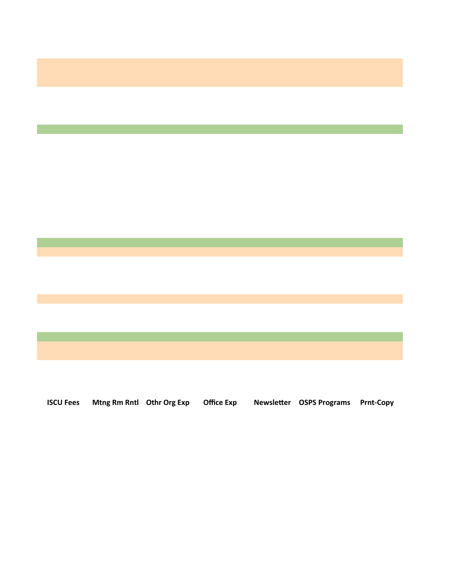

**ISCU Fees Mtng Rm Rntl Othr Org Exp Office Exp Newsletter OSPS Programs Prnt-Copy**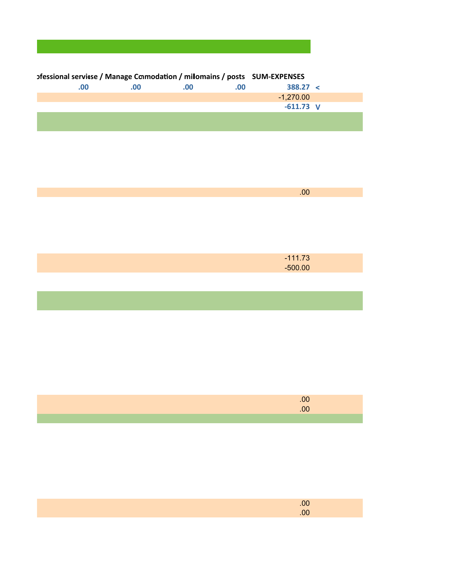| ofessional service / Manage Conmodation / milomains / posts SUM-EXPENSES |          |     |     |             |  |
|--------------------------------------------------------------------------|----------|-----|-----|-------------|--|
| $.00 \,$                                                                 | $.00 \,$ | .00 | .00 | 388.27 <    |  |
|                                                                          |          |     |     | -1.270.00   |  |
|                                                                          |          |     |     | $-611.73$ V |  |
|                                                                          |          |     |     |             |  |

| $-111.73$ |  |
|-----------|--|
| $-500.00$ |  |
|           |  |

.00